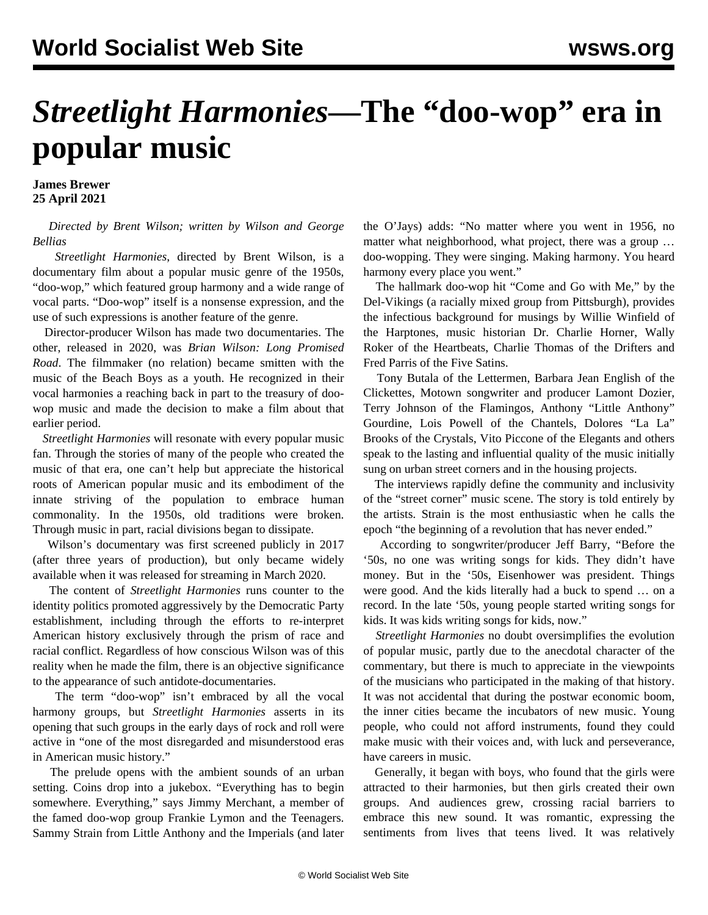## *Streetlight Harmonies***—The "doo-wop" era in popular music**

**James Brewer 25 April 2021**

 *Directed by Brent Wilson; written by Wilson and George Bellias*

 *Streetlight Harmonies*, directed by Brent Wilson, is a documentary film about a popular music genre of the 1950s, "doo-wop," which featured group harmony and a wide range of vocal parts. "Doo-wop" itself is a nonsense expression, and the use of such expressions is another feature of the genre.

 Director-producer Wilson has made two documentaries. The other, released in 2020, was *Brian Wilson: Long Promised Road*. The filmmaker (no relation) became smitten with the music of the Beach Boys as a youth. He recognized in their vocal harmonies a reaching back in part to the treasury of doowop music and made the decision to make a film about that earlier period.

 *Streetlight Harmonies* will resonate with every popular music fan. Through the stories of many of the people who created the music of that era, one can't help but appreciate the historical roots of American popular music and its embodiment of the innate striving of the population to embrace human commonality. In the 1950s, old traditions were broken. Through music in part, racial divisions began to dissipate.

 Wilson's documentary was first screened publicly in 2017 (after three years of production), but only became widely available when it was released for streaming in March 2020.

 The content of *Streetlight Harmonies* runs counter to the identity politics promoted aggressively by the Democratic Party establishment, including through the efforts to re-interpret American history exclusively through the prism of race and racial conflict. Regardless of how conscious Wilson was of this reality when he made the film, there is an objective significance to the appearance of such antidote-documentaries.

 The term "doo-wop" isn't embraced by all the vocal harmony groups, but *Streetlight Harmonies* asserts in its opening that such groups in the early days of rock and roll were active in "one of the most disregarded and misunderstood eras in American music history."

 The prelude opens with the ambient sounds of an urban setting. Coins drop into a jukebox. "Everything has to begin somewhere. Everything," says Jimmy Merchant, a member of the famed doo-wop group [Frankie Lymon and the Teenagers](https://youtu.be/PCj1zy-ehPs). Sammy Strain from [Little Anthony and the Imperials](https://youtu.be/uxjQ3M_v7xc) (and later the O'Jays) adds: "No matter where you went in 1956, no matter what neighborhood, what project, there was a group … doo-wopping. They were singing. Making harmony. You heard harmony every place you went."

 The hallmark doo-wop hit ["Come and Go with Me,"](https://youtu.be/P1eU_lDQaVM) by the Del-Vikings (a racially mixed group from Pittsburgh), provides the infectious background for musings by Willie Winfield of the [Harptones,](https://youtu.be/pvYCtdZpOMg) music historian Dr. Charlie Horner, Wally Roker of the [Heartbeats,](https://youtu.be/hTQPF2QlAmE) Charlie Thomas of the [Drifters](https://youtu.be/xU21gzEtmuw) and Fred Parris of the [Five Satins](https://youtu.be/fBT3oDMCWpI).

 Tony Butala of the [Lettermen,](https://youtu.be/jC9c4FCL-Ig) Barbara Jean English of the [Clickettes](https://youtu.be/mrzYhiIhPeg), Motown songwriter and producer Lamont Dozier, Terry Johnson of the [Flamingos](https://youtu.be), Anthony "Little Anthony" Gourdine, Lois Powell of the [Chantels](https://youtu.be/TdtveJVV3p4), Dolores "La La" Brooks of the [Crystals,](https://youtu.be/8vs6e8l6m9w) Vito Piccone of the [Elegants](https://youtu.be/l8F4vdF-bJc) and others speak to the lasting and influential quality of the music initially sung on urban street corners and in the housing projects.

 The interviews rapidly define the community and inclusivity of the "street corner" music scene. The story is told entirely by the artists. Strain is the most enthusiastic when he calls the epoch "the beginning of a revolution that has never ended."

 According to songwriter/producer Jeff Barry, "Before the '50s, no one was writing songs for kids. They didn't have money. But in the '50s, Eisenhower was president. Things were good. And the kids literally had a buck to spend … on a record. In the late '50s, young people started writing songs for kids. It was kids writing songs for kids, now."

 *Streetlight Harmonies* no doubt oversimplifies the evolution of popular music, partly due to the anecdotal character of the commentary, but there is much to appreciate in the viewpoints of the musicians who participated in the making of that history. It was not accidental that during the postwar economic boom, the inner cities became the incubators of new music. Young people, who could not afford instruments, found they could make music with their voices and, with luck and perseverance, have careers in music.

 Generally, it began with boys, who found that the girls were attracted to their harmonies, but then girls created their own groups. And audiences grew, crossing racial barriers to embrace this new sound. It was romantic, expressing the sentiments from lives that teens lived. It was relatively